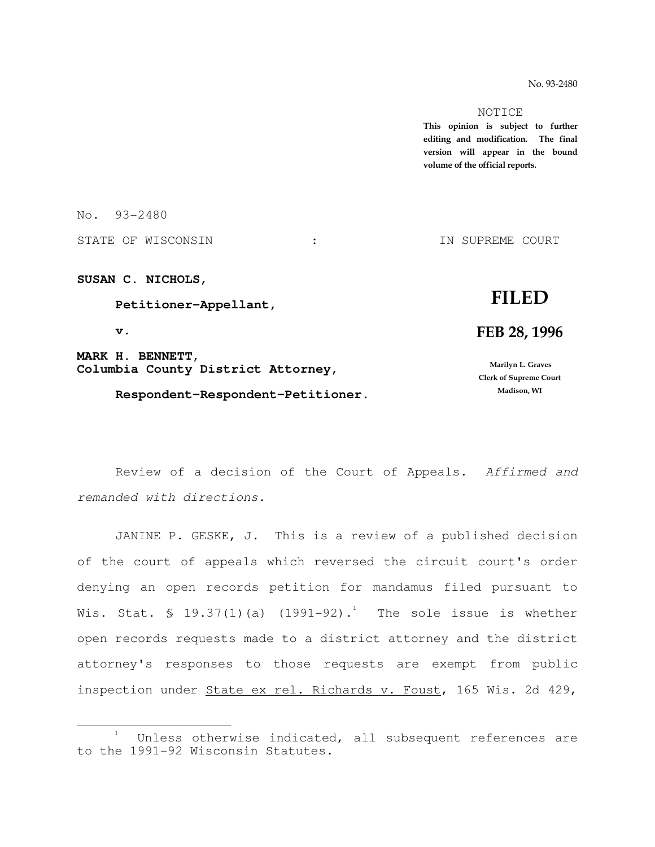No. 93-2480

#### NOTICE

This opinion is subject to further editing and modification. The final version will appear in the bound volume of the official reports.

No. 93-2480

STATE OF WISCONSIN : THE STATE OF WISCONSIN : THE SUPREME COURT

**SUSAN C. NICHOLS,** 

 **Petitioner-Appellant,** 

 **v.** 

e<br>S

**MARK H. BENNETT, Columbia County District Attorney,** 

 **Respondent-Respondent-Petitioner.**

# FILED

## FEB 28, 1996

 Marilyn L. Graves Clerk of Supreme Court Madison, WI

 Review of a decision of the Court of Appeals. Affirmed and remanded with directions.

 JANINE P. GESKE, J. This is a review of a published decision of the court of appeals which reversed the circuit court's order denying an open records petition for mandamus filed pursuant to Wis. Stat. § 19.37(1)(a) (1991-92). $^1$  The sole issue is whether open records requests made to a district attorney and the district attorney's responses to those requests are exempt from public inspection under State ex rel. Richards v. Foust, 165 Wis. 2d 429,

<sup>1</sup> Unless otherwise indicated, all subsequent references are to the 1991-92 Wisconsin Statutes.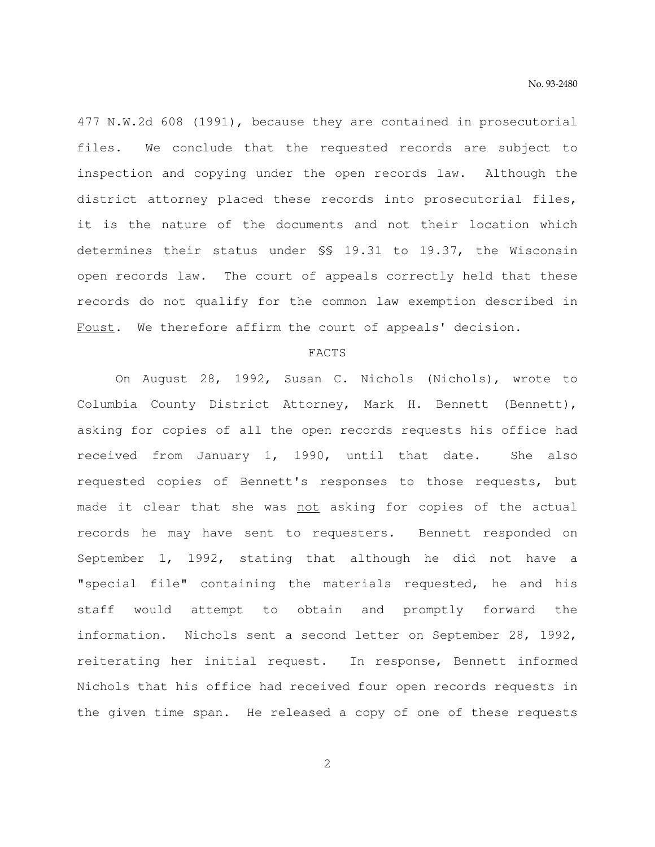477 N.W.2d 608 (1991), because they are contained in prosecutorial files. We conclude that the requested records are subject to inspection and copying under the open records law. Although the district attorney placed these records into prosecutorial files, it is the nature of the documents and not their location which determines their status under §§ 19.31 to 19.37, the Wisconsin open records law. The court of appeals correctly held that these records do not qualify for the common law exemption described in Foust. We therefore affirm the court of appeals' decision.

#### FACTS

 On August 28, 1992, Susan C. Nichols (Nichols), wrote to Columbia County District Attorney, Mark H. Bennett (Bennett), asking for copies of all the open records requests his office had received from January 1, 1990, until that date. She also requested copies of Bennett's responses to those requests, but made it clear that she was not asking for copies of the actual records he may have sent to requesters. Bennett responded on September 1, 1992, stating that although he did not have a "special file" containing the materials requested, he and his staff would attempt to obtain and promptly forward the information. Nichols sent a second letter on September 28, 1992, reiterating her initial request. In response, Bennett informed Nichols that his office had received four open records requests in the given time span. He released a copy of one of these requests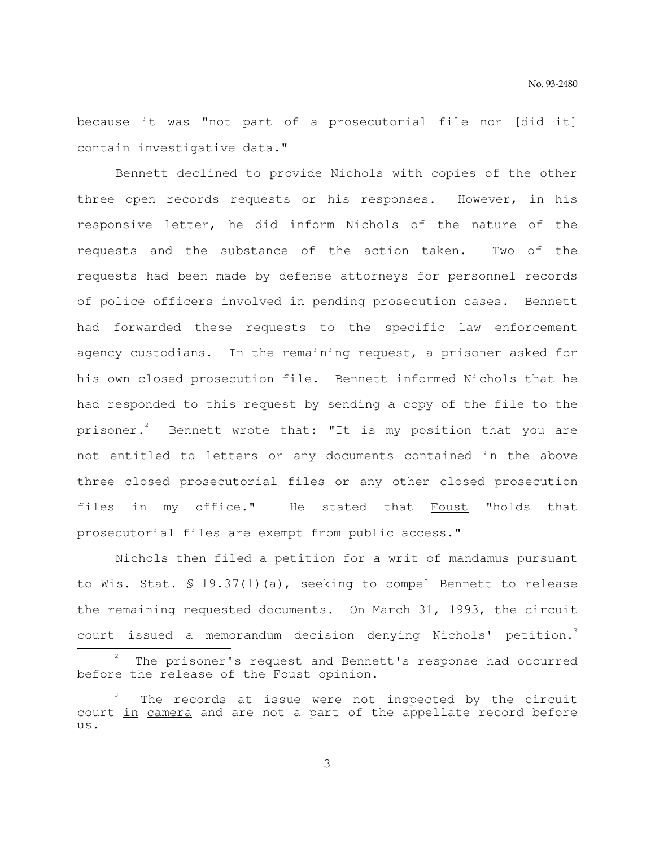because it was "not part of a prosecutorial file nor [did it] contain investigative data."

 Bennett declined to provide Nichols with copies of the other three open records requests or his responses. However, in his responsive letter, he did inform Nichols of the nature of the requests and the substance of the action taken. Two of the requests had been made by defense attorneys for personnel records of police officers involved in pending prosecution cases. Bennett had forwarded these requests to the specific law enforcement agency custodians. In the remaining request, a prisoner asked for his own closed prosecution file. Bennett informed Nichols that he had responded to this request by sending a copy of the file to the prisoner. $^{2}$  Bennett wrote that: "It is my position that you are not entitled to letters or any documents contained in the above three closed prosecutorial files or any other closed prosecution files in my office." He stated that Foust "holds that prosecutorial files are exempt from public access."

 Nichols then filed a petition for a writ of mandamus pursuant to Wis. Stat. § 19.37(1)(a), seeking to compel Bennett to release the remaining requested documents. On March 31, 1993, the circuit court issued a memorandum decision denying Nichols' petition.<sup>3</sup>

e<br>S

<sup>2</sup> The prisoner's request and Bennett's response had occurred before the release of the Foust opinion.

<sup>3</sup> The records at issue were not inspected by the circuit court in camera and are not a part of the appellate record before us.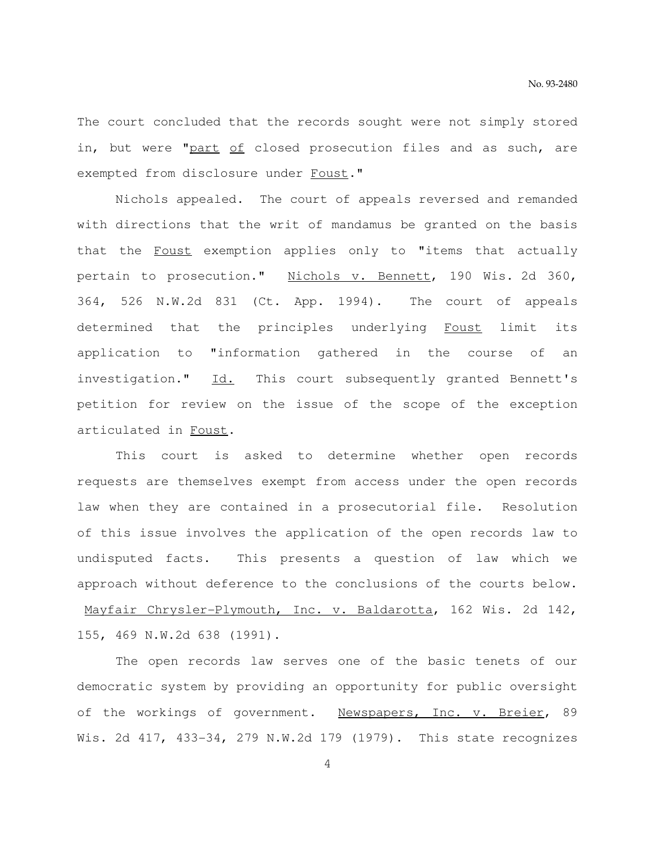The court concluded that the records sought were not simply stored in, but were "part of closed prosecution files and as such, are exempted from disclosure under Foust."

 Nichols appealed. The court of appeals reversed and remanded with directions that the writ of mandamus be granted on the basis that the Foust exemption applies only to "items that actually pertain to prosecution." Nichols v. Bennett, 190 Wis. 2d 360, 364, 526 N.W.2d 831 (Ct. App. 1994). The court of appeals determined that the principles underlying Foust limit its application to "information gathered in the course of an investigation." Id. This court subsequently granted Bennett's petition for review on the issue of the scope of the exception articulated in Foust.

 This court is asked to determine whether open records requests are themselves exempt from access under the open records law when they are contained in a prosecutorial file. Resolution of this issue involves the application of the open records law to undisputed facts. This presents a question of law which we approach without deference to the conclusions of the courts below. Mayfair Chrysler-Plymouth, Inc. v. Baldarotta, 162 Wis. 2d 142, 155, 469 N.W.2d 638 (1991).

 The open records law serves one of the basic tenets of our democratic system by providing an opportunity for public oversight of the workings of government. Newspapers, Inc. v. Breier, 89 Wis. 2d 417, 433-34, 279 N.W.2d 179 (1979). This state recognizes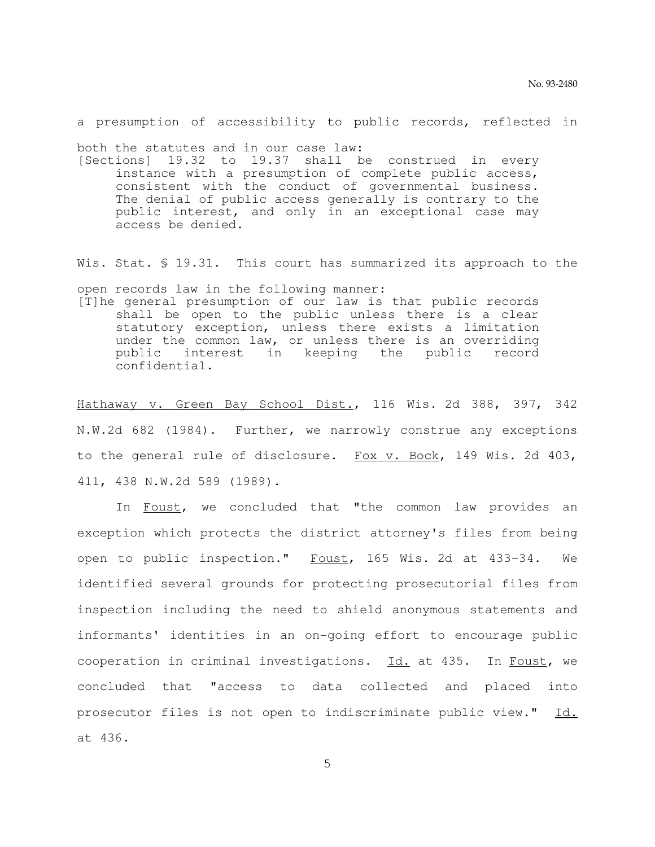a presumption of accessibility to public records, reflected in

both the statutes and in our case law:

[Sections] 19.32 to 19.37 shall be construed in every instance with a presumption of complete public access, consistent with the conduct of governmental business. The denial of public access generally is contrary to the public interest, and only in an exceptional case may access be denied.

Wis. Stat. § 19.31. This court has summarized its approach to the

open records law in the following manner:

[T]he general presumption of our law is that public records shall be open to the public unless there is a clear statutory exception, unless there exists a limitation under the common law, or unless there is an overriding public interest in keeping the public record confidential.

Hathaway v. Green Bay School Dist., 116 Wis. 2d 388, 397, 342 N.W.2d 682 (1984). Further, we narrowly construe any exceptions to the general rule of disclosure. Fox v. Bock, 149 Wis. 2d 403, 411, 438 N.W.2d 589 (1989).

In Foust, we concluded that "the common law provides an exception which protects the district attorney's files from being open to public inspection." Foust, 165 Wis. 2d at 433-34. We identified several grounds for protecting prosecutorial files from inspection including the need to shield anonymous statements and informants' identities in an on-going effort to encourage public cooperation in criminal investigations. Id. at 435. In Foust, we concluded that "access to data collected and placed into prosecutor files is not open to indiscriminate public view." Id. at 436.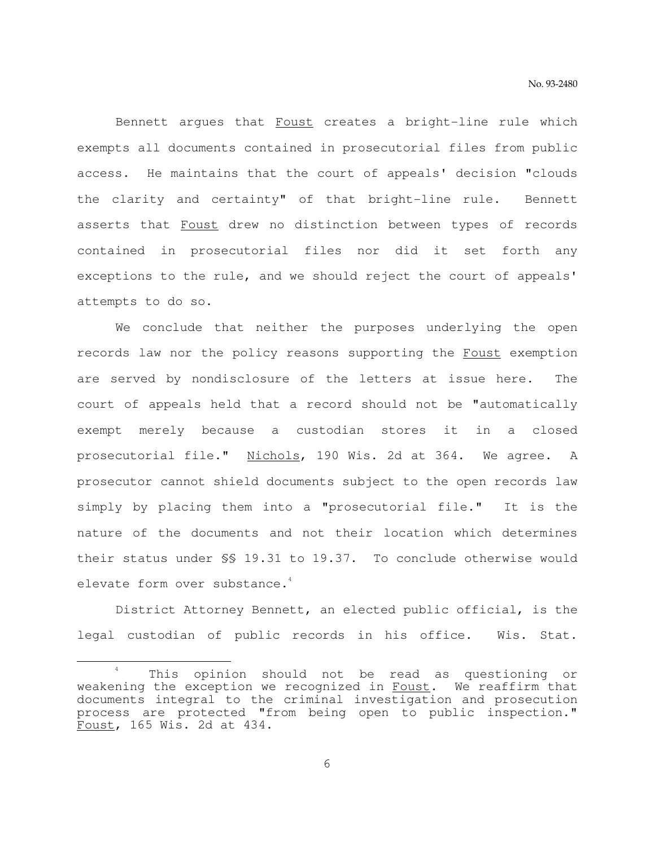Bennett argues that Foust creates a bright-line rule which exempts all documents contained in prosecutorial files from public access. He maintains that the court of appeals' decision "clouds the clarity and certainty" of that bright-line rule. Bennett asserts that Foust drew no distinction between types of records contained in prosecutorial files nor did it set forth any exceptions to the rule, and we should reject the court of appeals' attempts to do so.

 We conclude that neither the purposes underlying the open records law nor the policy reasons supporting the Foust exemption are served by nondisclosure of the letters at issue here. The court of appeals held that a record should not be "automatically exempt merely because a custodian stores it in a closed prosecutorial file." Nichols, 190 Wis. 2d at 364. We agree. A prosecutor cannot shield documents subject to the open records law simply by placing them into a "prosecutorial file." It is the nature of the documents and not their location which determines their status under §§ 19.31 to 19.37. To conclude otherwise would elevate form over substance.<sup>4</sup>

 District Attorney Bennett, an elected public official, is the legal custodian of public records in his office. Wis. Stat.

e<br>S

<sup>4</sup> This opinion should not be read as questioning or weakening the exception we recognized in Foust. We reaffirm that documents integral to the criminal investigation and prosecution process are protected "from being open to public inspection." Foust, 165 Wis. 2d at 434.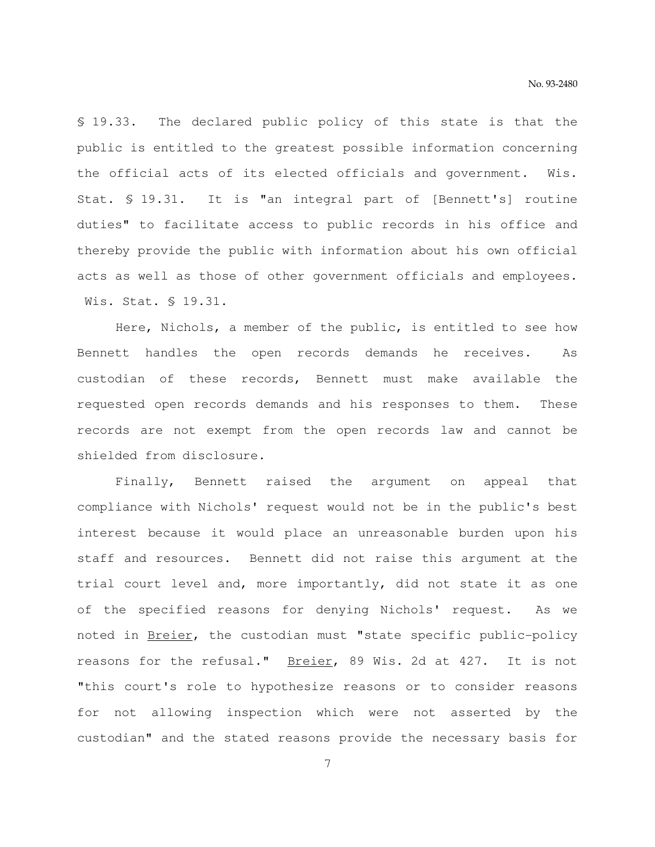§ 19.33. The declared public policy of this state is that the public is entitled to the greatest possible information concerning the official acts of its elected officials and government. Wis. Stat. § 19.31. It is "an integral part of [Bennett's] routine duties" to facilitate access to public records in his office and thereby provide the public with information about his own official acts as well as those of other government officials and employees. Wis. Stat. § 19.31.

 Here, Nichols, a member of the public, is entitled to see how Bennett handles the open records demands he receives. As custodian of these records, Bennett must make available the requested open records demands and his responses to them. These records are not exempt from the open records law and cannot be shielded from disclosure.

 Finally, Bennett raised the argument on appeal that compliance with Nichols' request would not be in the public's best interest because it would place an unreasonable burden upon his staff and resources. Bennett did not raise this argument at the trial court level and, more importantly, did not state it as one of the specified reasons for denying Nichols' request. As we noted in Breier, the custodian must "state specific public-policy reasons for the refusal." Breier, 89 Wis. 2d at 427. It is not "this court's role to hypothesize reasons or to consider reasons for not allowing inspection which were not asserted by the custodian" and the stated reasons provide the necessary basis for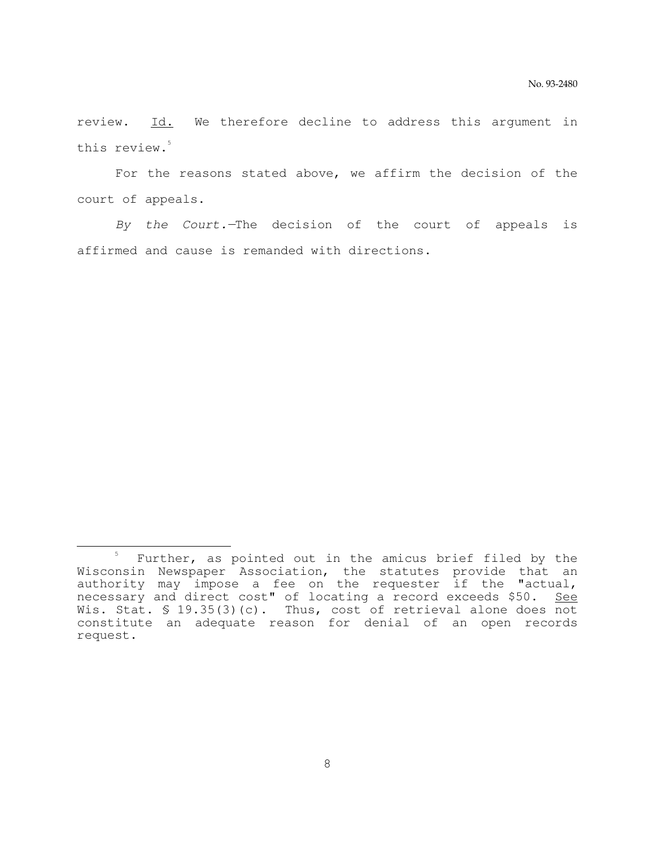review. Id. We therefore decline to address this argument in this review.<sup>5</sup>

 For the reasons stated above, we affirm the decision of the court of appeals.

 By the Court.—The decision of the court of appeals is affirmed and cause is remanded with directions.

e<br>S

<sup>5</sup> Further, as pointed out in the amicus brief filed by the Wisconsin Newspaper Association, the statutes provide that an authority may impose a fee on the requester if the "actual, necessary and direct cost" of locating a record exceeds \$50. See Wis. Stat. § 19.35(3)(c). Thus, cost of retrieval alone does not constitute an adequate reason for denial of an open records request.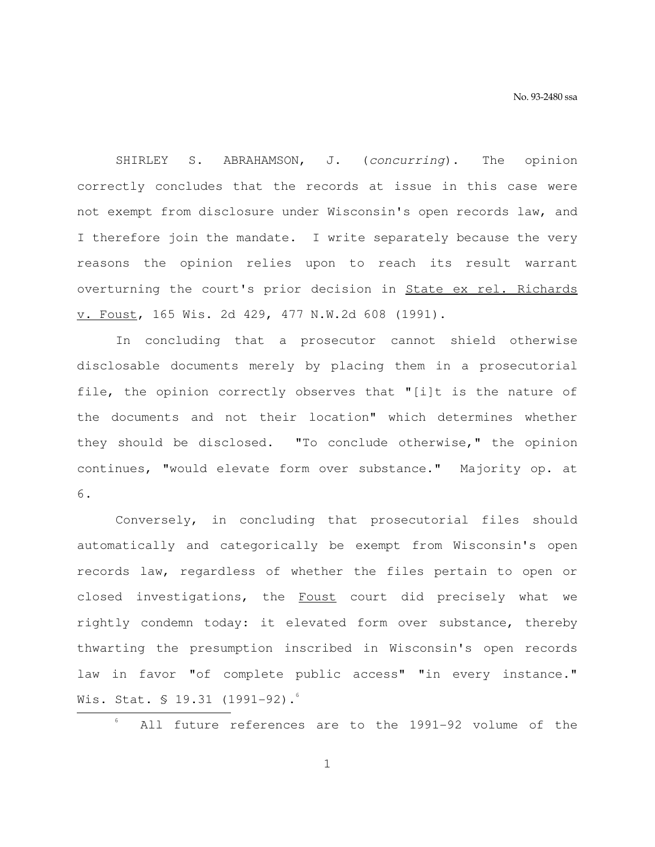SHIRLEY S. ABRAHAMSON, J. (concurring). The opinion correctly concludes that the records at issue in this case were not exempt from disclosure under Wisconsin's open records law, and I therefore join the mandate. I write separately because the very reasons the opinion relies upon to reach its result warrant overturning the court's prior decision in State ex rel. Richards v. Foust, 165 Wis. 2d 429, 477 N.W.2d 608 (1991).

 In concluding that a prosecutor cannot shield otherwise disclosable documents merely by placing them in a prosecutorial file, the opinion correctly observes that "[i]t is the nature of the documents and not their location" which determines whether they should be disclosed. "To conclude otherwise," the opinion continues, "would elevate form over substance." Majority op. at 6.

 Conversely, in concluding that prosecutorial files should automatically and categorically be exempt from Wisconsin's open records law, regardless of whether the files pertain to open or closed investigations, the Foust court did precisely what we rightly condemn today: it elevated form over substance, thereby thwarting the presumption inscribed in Wisconsin's open records law in favor "of complete public access" "in every instance." Wis. Stat. § 19.31 (1991–92). $\degree$ 

All future references are to the 1991-92 volume of the

1

e<br>S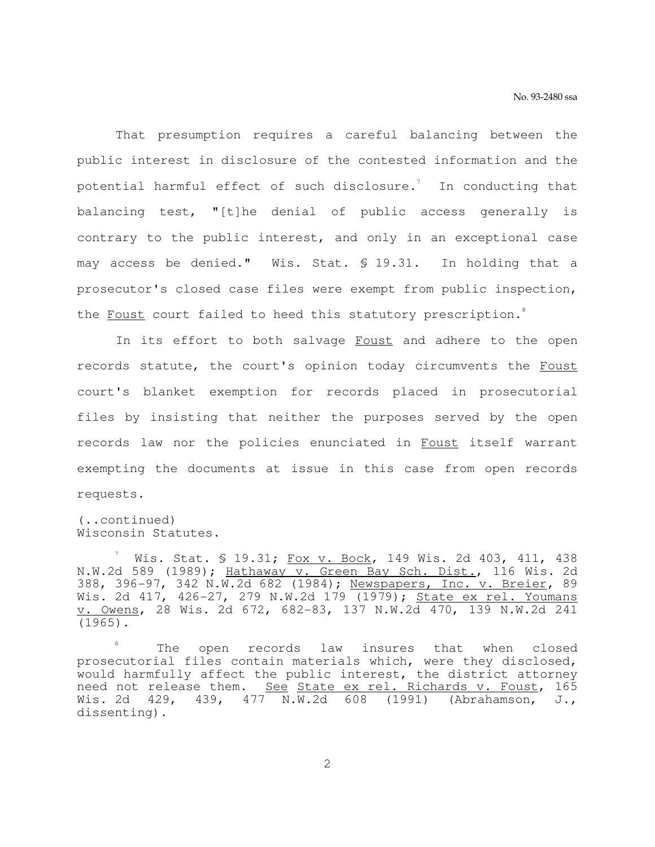That presumption requires a careful balancing between the public interest in disclosure of the contested information and the potential harmful effect of such disclosure. $^7$   $\,$  In conducting that balancing test, "[t]he denial of public access generally is contrary to the public interest, and only in an exceptional case may access be denied." Wis. Stat. § 19.31. In holding that a prosecutor's closed case files were exempt from public inspection, the Foust court failed to heed this statutory prescription.<sup>8</sup>

In its effort to both salvage Foust and adhere to the open records statute, the court's opinion today circumvents the Foust court's blanket exemption for records placed in prosecutorial files by insisting that neither the purposes served by the open records law nor the policies enunciated in Foust itself warrant exempting the documents at issue in this case from open records requests.

(..continued) Wisconsin Statutes.

 $^7$  Wis. Stat. § 19.31; <u>Fox v. Bock</u>, 149 Wis. 2d 403, 411, 438 N.W.2d 589 (1989); Hathaway v. Green Bay Sch. Dist., 116 Wis. 2d 388, 396-97, 342 N.W.2d 682 (1984); Newspapers, Inc. v. Breier, 89 Wis. 2d 417, 426-27, 279 N.W.2d 179 (1979); State ex rel. Youmans v. Owens, 28 Wis. 2d 672, 682-83, 137 N.W.2d 470, 139 N.W.2d 241 (1965).

<sup>8</sup> The open records law insures that when closed prosecutorial files contain materials which, were they disclosed, would harmfully affect the public interest, the district attorney need not release them. See State ex rel. Richards v. Foust, 165 Wis. 2d 429, 439, 477 N.W.2d 608 (1991) (Abrahamson, J., dissenting).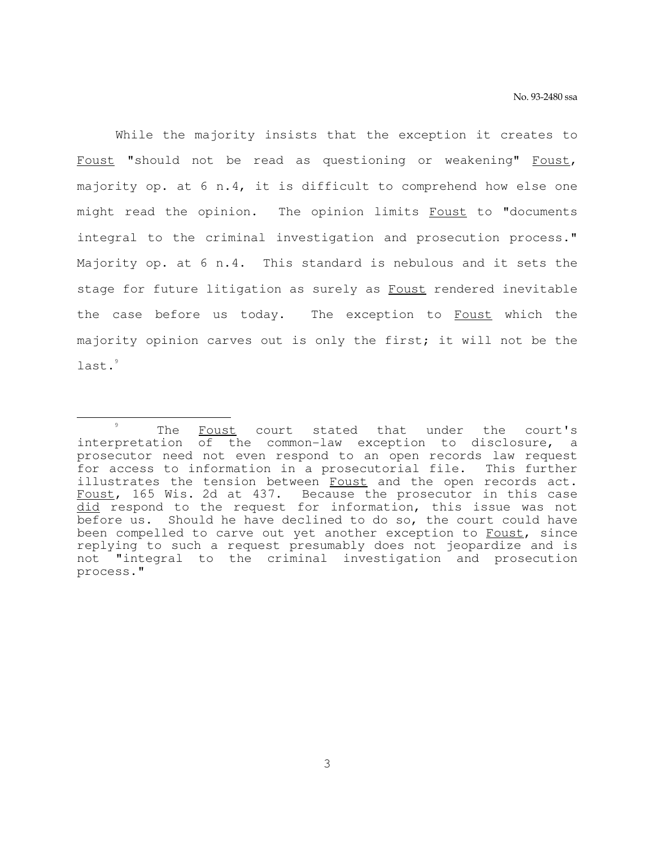While the majority insists that the exception it creates to Foust "should not be read as questioning or weakening" Foust, majority op. at 6 n.4, it is difficult to comprehend how else one might read the opinion. The opinion limits Foust to "documents integral to the criminal investigation and prosecution process." Majority op. at 6 n.4. This standard is nebulous and it sets the stage for future litigation as surely as Foust rendered inevitable the case before us today. The exception to Foust which the majority opinion carves out is only the first; it will not be the last.<sup>9</sup>

e<br>S

<sup>9</sup> The Foust court stated that under the court's interpretation of the common-law exception to disclosure, a prosecutor need not even respond to an open records law request for access to information in a prosecutorial file. This further illustrates the tension between Foust and the open records act. Foust, 165 Wis. 2d at 437. Because the prosecutor in this case did respond to the request for information, this issue was not before us. Should he have declined to do so, the court could have been compelled to carve out yet another exception to Foust, since replying to such a request presumably does not jeopardize and is not "integral to the criminal investigation and prosecution process."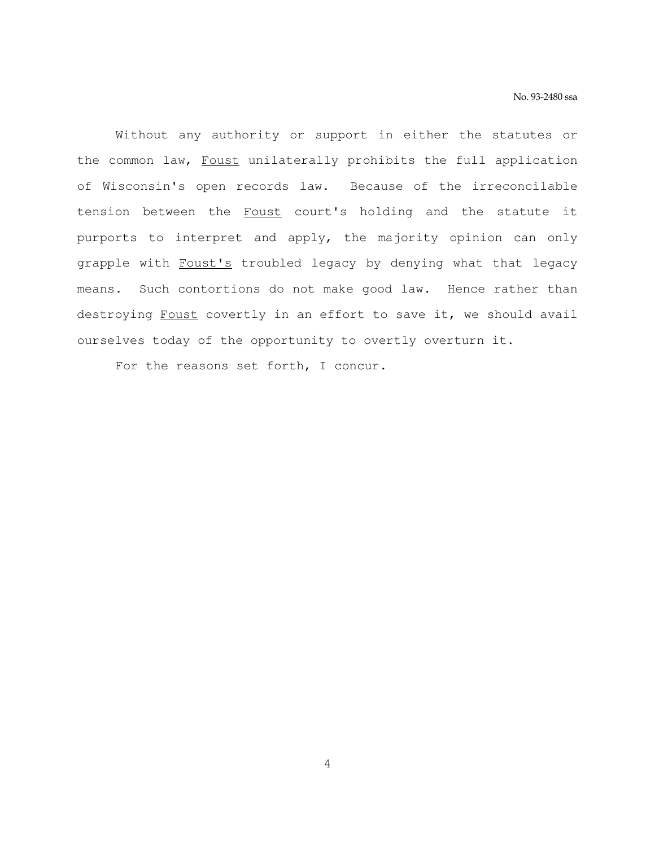Without any authority or support in either the statutes or the common law, Foust unilaterally prohibits the full application of Wisconsin's open records law. Because of the irreconcilable tension between the Foust court's holding and the statute it purports to interpret and apply, the majority opinion can only grapple with Foust's troubled legacy by denying what that legacy means. Such contortions do not make good law. Hence rather than destroying Foust covertly in an effort to save it, we should avail ourselves today of the opportunity to overtly overturn it.

For the reasons set forth, I concur.